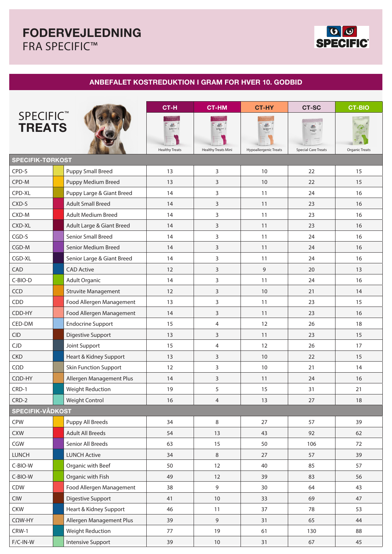# **FODERVEJLEDNING**  FRA SPECIFIC™



## **ANBEFALET KOSTREDUKTION I GRAM FOR HVER 10. GODBID**

|                                        |  |                              | CT-H                  | <b>CT-HM</b>               | <b>CT-HY</b>          | <b>CT-SC</b>                                        | <b>CT-BIO</b>         |  |  |  |  |  |  |
|----------------------------------------|--|------------------------------|-----------------------|----------------------------|-----------------------|-----------------------------------------------------|-----------------------|--|--|--|--|--|--|
| <b>SPECIFIC<sup>™</sup><br/>TREATS</b> |  |                              | <b>Healthy Treats</b> | <b>Healthy Treats Mini</b> | Hypoallergenic Treats | Spacial Car<br>Treats<br><b>Special Care Treats</b> | <b>Organic Treats</b> |  |  |  |  |  |  |
| <b>SPECIFIK-TØRKOST</b>                |  |                              |                       |                            |                       |                                                     |                       |  |  |  |  |  |  |
| CPD-S                                  |  | <b>Puppy Small Breed</b>     | 13                    | 3                          | 10                    | 22                                                  | 15                    |  |  |  |  |  |  |
| CPD-M                                  |  | Puppy Medium Breed           | 13                    | 3                          | 10                    | 22                                                  | 15                    |  |  |  |  |  |  |
| CPD-XL                                 |  | Puppy Large & Giant Breed    | 14                    | 3                          | 11                    | 24                                                  | 16                    |  |  |  |  |  |  |
| CXD-S                                  |  | <b>Adult Small Breed</b>     | 14                    | 3                          | 11                    | 23                                                  | 16                    |  |  |  |  |  |  |
| CXD-M                                  |  | <b>Adult Medium Breed</b>    | 14                    | 3                          | 11                    | 23                                                  | 16                    |  |  |  |  |  |  |
| CXD-XL                                 |  | Adult Large & Giant Breed    | 14                    | 3                          | 11                    | 23                                                  | 16                    |  |  |  |  |  |  |
| CGD-S                                  |  | <b>Senior Small Breed</b>    | 14                    | 3                          | 11                    | 24                                                  | 16                    |  |  |  |  |  |  |
| CGD-M                                  |  | Senior Medium Breed          | 14                    | 3                          | 11                    | 24                                                  | 16                    |  |  |  |  |  |  |
| CGD-XL                                 |  | Senior Large & Giant Breed   | 14                    | 3                          | 11                    | 24                                                  | 16                    |  |  |  |  |  |  |
| CAD                                    |  | <b>CAD Active</b>            | 12                    | 3                          | 9                     | 20                                                  | 13                    |  |  |  |  |  |  |
| C-BIO-D                                |  | Adult Organic                | 14                    | 3                          | 11                    | 24                                                  | 16                    |  |  |  |  |  |  |
| CCD                                    |  | <b>Struvite Management</b>   | 12                    | 3                          | 10                    | 21                                                  | 14                    |  |  |  |  |  |  |
| CDD                                    |  | Food Allergen Management     | 13                    | 3                          | 11                    | 23                                                  | 15                    |  |  |  |  |  |  |
| CDD-HY                                 |  | Food Allergen Management     | 14                    | 3                          | 11                    | 23                                                  | 16                    |  |  |  |  |  |  |
| CED-DM                                 |  | <b>Endocrine Support</b>     | 15                    | 4                          | 12                    | 26                                                  | 18                    |  |  |  |  |  |  |
| <b>CID</b>                             |  | Digestive Support            | 13                    | 3                          | 11                    | 23                                                  | 15                    |  |  |  |  |  |  |
| CJD                                    |  | Joint Support                | 15                    | 4                          | 12                    | 26                                                  | 17                    |  |  |  |  |  |  |
| <b>CKD</b>                             |  | Heart & Kidney Support       | 13                    | 3                          | 10                    | 22                                                  | 15                    |  |  |  |  |  |  |
| $C\Omega D$                            |  | <b>Skin Function Support</b> | 12                    | 3                          | 10                    | 21                                                  | 14                    |  |  |  |  |  |  |
| $C\Omega D$ -HY                        |  | Allergen Management Plus     | 14                    | 3                          | 11                    | 24                                                  | 16                    |  |  |  |  |  |  |
| CRD-1                                  |  | <b>Weight Reduction</b>      | 19                    | 5                          | 15                    | 31                                                  | 21                    |  |  |  |  |  |  |
| CRD-2                                  |  | <b>Weight Control</b>        | 16                    | $\overline{4}$             | 13                    | 27                                                  | 18                    |  |  |  |  |  |  |
| SPECIFIK-VÅDKOST                       |  |                              |                       |                            |                       |                                                     |                       |  |  |  |  |  |  |
| <b>CPW</b>                             |  | Puppy All Breeds             | 34                    | 8                          | 27                    | 57                                                  | 39                    |  |  |  |  |  |  |
| <b>CXW</b>                             |  | <b>Adult All Breeds</b>      | 54                    | 13                         | 43                    | 92                                                  | 62                    |  |  |  |  |  |  |
| CGW                                    |  | Senior All Breeds            | 63                    | 15                         | 50                    | 106                                                 | 72                    |  |  |  |  |  |  |
| <b>LUNCH</b>                           |  | <b>LUNCH Active</b>          | 34                    | 8                          | 27                    | 57                                                  | 39                    |  |  |  |  |  |  |
| C-BIO-W                                |  | Organic with Beef            | 50                    | 12                         | 40                    | 85                                                  | 57                    |  |  |  |  |  |  |
| C-BIO-W                                |  | Organic with Fish            | 49                    | 12                         | 39                    | 83                                                  | 56                    |  |  |  |  |  |  |
| CDW                                    |  | Food Allergen Management     | 38                    | 9                          | 30                    | 64                                                  | 43                    |  |  |  |  |  |  |
| <b>CIW</b>                             |  | Digestive Support            | 41                    | $10\,$                     | 33                    | 69                                                  | 47                    |  |  |  |  |  |  |
| <b>CKW</b>                             |  | Heart & Kidney Support       | 46                    | 11                         | 37                    | 78                                                  | 53                    |  |  |  |  |  |  |
| $C\Omega W$ -HY                        |  | Allergen Management Plus     | 39                    | 9                          | 31                    | 65                                                  | 44                    |  |  |  |  |  |  |
| CRW-1                                  |  | Weight Reduction             | 77                    | 19                         | 61                    | 130                                                 | 88                    |  |  |  |  |  |  |
| $F/C-IN-W$                             |  | Intensive Support            | 39                    | $10\,$                     | 31                    | 67                                                  | 45                    |  |  |  |  |  |  |